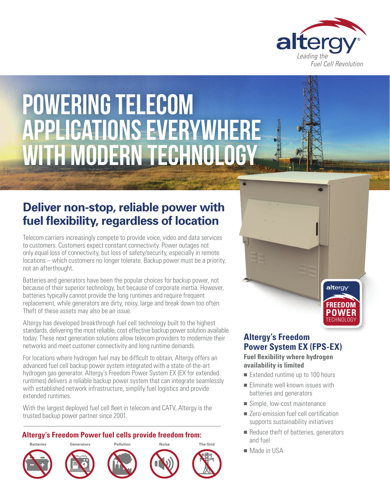

# Powering Telecom Applications Everywhere with Modern Technology

## **Deliver non-stop, reliable power with fuel flexibility, regardless of location**

Telecom carriers increasingly compete to provide voice, video and data services to customers. Customers expect constant connectivity. Power outages not only equal loss of connectivity, but loss of safety/security, especially in remote locations – which customers no longer tolerate. Backup power must be a priority, not an afterthought.

Batteries and generators have been the popular choices for backup power, not because of their superior technology, but because of corporate inertia. However, batteries typically cannot provide the long runtimes and require frequent replacement, while generators are dirty, noisy, large and break down too often. Theft of these assets may also be an issue.

Altergy has developed breakthrough fuel cell technology built to the highest standards, delivering the most reliable, cost effective backup power solution available today. These next generation solutions allow telecom providers to modernize their networks and meet customer connectivity and long runtime demands.

For locations where hydrogen fuel may be difficult to obtain, Altergy offers an advanced fuel cell backup power system integrated with a state-of-the-art hydrogen gas generator. Altergy's Freedom Power System EX (EX for extended runtimes) delivers a reliable backup power system that can integrate seamlessly with established network infrastructure, simplify fuel logistics and provide extended runtimes.

With the largest deployed fuel cell fleet in telecom and CATV, Altergy is the trusted backup power partner since 2001.

#### **Altergy's Freedom Power fuel cells provide freedom from:**



## **Altergy's Freedom Power System EX (FPS-EX)**

TECHNOLOGY **POWER FREEDOM**

altergy

**Fuel flexibility where hydrogen availability is limited**

- $\blacksquare$  Extended runtime up to 100 hours
- $\blacksquare$  Eliminate well known issues with batteries and generators
- $\blacksquare$  Simple, low-cost maintenance
- Zero-emission fuel cell certification supports sustainability initiatives
- Reduce theft of batteries, generators and fuel
- Made in USA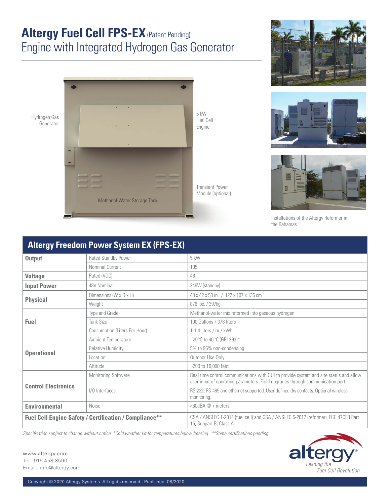# **Altergy Fuel Cell FPS-EX** (Patent Pending) Engine with Integrated Hydrogen Gas Generator









Installations of the Altergy Reformer in the Bahamas

#### **Output** Rated Standby Power 5 kW Nominal Current 105 **Voltage** Rated (VDC) 48 **Input Power**  $48V$  Nominal 246W (standby) **Physical** Dimensions (W x D x H) 48 x 42 x 53 in. / 122 x 107 x 135 cm<br>Weight 876 lbs. / 397kg 876 lbs. / 397kg **Fuel** Type and Grade Methanol-water mix reformed into gaseous hydrogen Tank Size 2012 100 Gallons / 378 liters Consumption (Liters Per Hour) 1-1.4 liters / hr / kWh **Operational** Ambient Temperature  $\vert$  -20°C to 46°C (GR1293)\* Relative Humidity **EXACTE:** The 15% to 95% non-condensing Location **Constanting Constanting Constanting Constanting Constanting Constanting Constanting Constanting Constanting Constanting Constanting Constanting Constanting Constanting Constanting Constanting Constanting Constant** Altitude 200 to 10,000 feet **Control Electronics** Monitoring Software **Real time control communications with GUI to provide system and site status and allow** user input of operating parameters. Field upgrades through communication port. I/O Interfaces **RS-232, RS-485** and ethernet supported. User-defined dry contacts. Optional wireless monitoring. **Environmental** Noise **COMBA @ 7 meters** Fuel Cell Engine Safety / Certification / Compliance<sup>\*\*</sup> | CSA / ANSI FC 1-2014 (fuel cell) and CSA / ANSI FC 5-2017 (reformer), FCC 47CFR Part 15, Subpart B, Class A

*Specification subject to change without notice. \*Cold weather kit for temperatures below freezing. \*\*Some certifications pending.*



www.altergy.com Tel: 916.458.8590 Email: info@altergy.com

### **Altergy Freedom Power System EX (FPS-EX)**